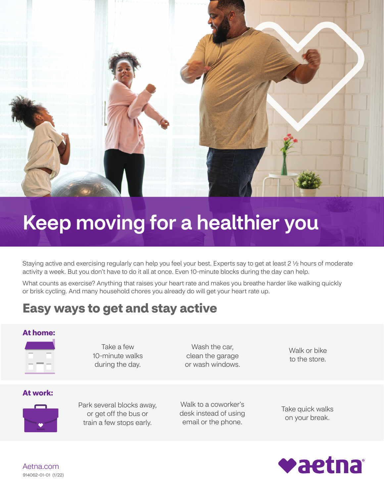

# Keep moving for a healthier you

Staying active and exercising regularly can help you feel your best. Experts say to get at least 2 1/2 hours of moderate activity a week. But you don't have to do it all at once. Even 10-minute blocks during the day can help.

What counts as exercise? Anything that raises your heart rate and makes you breathe harder like walking quickly or brisk cycling. And many household chores you already do will get your heart rate up.

# **Easy ways to get and stay active**

#### **At home:**



Take a few 10-minute walks during the day.

Wash the car, clean the garage or wash windows.

Walk or bike to the store.

#### **At work:**



Park several blocks away, or get off the bus or train a few stops early.

Walk to a coworker's desk instead of using email or the phone.

Take quick walks on your break.



[Aetna.com](http://Aetna.com) 914062-01-01 (1/22)